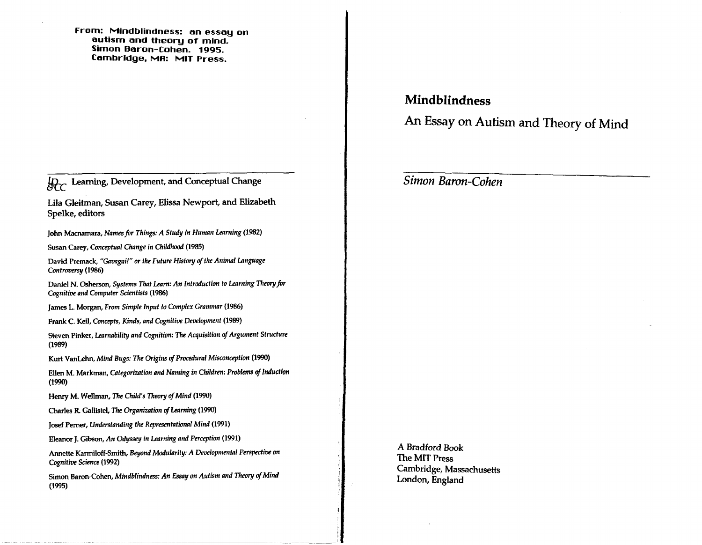**From: Mindblindness: ern essay on**  autism and theory of mind. **Simon Baron-Cohen. lgg5. Cambridge, MH: MIT Press.** 

*kc* **Learning, Development, and Conceptual Change** 

**Lila Gleitman, Susan Carey, Elissa Newport, and Elizabeth Spelke, editors** 

**John Macnamara,** *Namesfir Things: A Study in Human Learning* **(1982)** 

**Susan Carey,** *Conceptual Change in Childhood* **(1985)** 

**David Premack,** *"Gavagai!" or the Future Histoy of the Animal Language Controversy* **(1986)** 

**Daniel N. Osherson, Systems That Learn: An Introduction to Learning Theory for** *Cognitive and Computer Scientists* **(1986)** 

**James L. Morgan,** *From Simple Input to Complex Grammar* **(1986)** 

**Frank C. Keil, Concepts, Kinds, and Cognitive Development (1989)** 

**Steven Pinker,** *Learnability and Cognitia: The Acquisition of Argument Structure*  **(1989)** 

**Kurt VanLehn,** *Mind Bugs:* **The** *Origins of Procedural Misconception* **(1990)** 

Ellen M. Markman, Categorization and Naming in Children: Problems of Induction **(1990)** 

**Henry M. Wellman, The Child's Theory of Mind (1990)** 

*Charles R* **Gallistel, The** *Organization* **of** *Learning* **(1990)** 

**Josef Pemer,** *Understanding the Representational Mind* **(1991)** 

**Eleanor J. Gibson,** *An* **Odyssey** *in Learning and Perception* **(1991)** 

**Annette Karmiloff-Smith,** *Beyond Modularity: A Dewlopmental Perspective on Cognitive Science* **(1992)** 

Simon Baron-Cohen, *Mindblindness: An Essay on Autism and Theory of Mind* **(1995)** 

# **Mindblindness**

**An Essay on Autism** and Theory **of Mind** 

*Simon Baron-Cohen* 

**A Bradford Book The MIT Press Cambridge, Massachusetts London, England**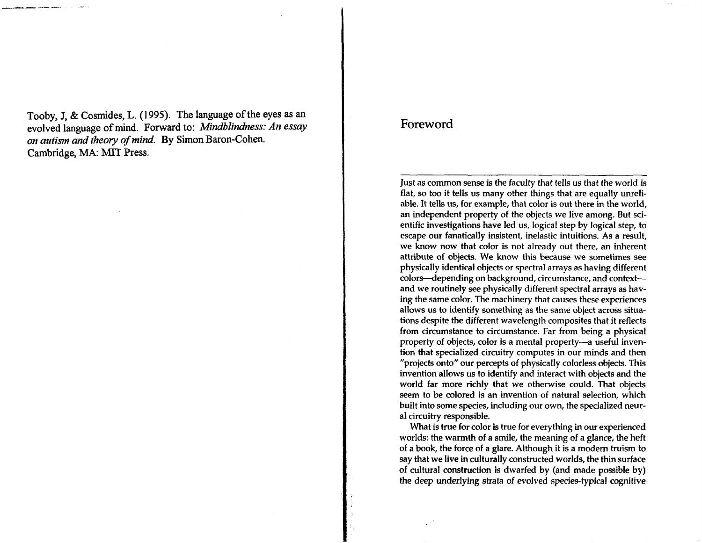Tooby, J, & Cosmides, L. (1995). The language of the eyes as an evolved language of mind. Forward to: *Mindblindness: An essay on autism and theory of mind.* By Simon Baron-Cohen. Cambridge, MA: MIT Press.

## **Foreword**

Just as common sense is the faculty that tells us that the world is flat, so too it tells us many other things that are equally unreliable. It tells us, for example, that color is out there in the world, an independent property of the objects we live among. But scientific investigations have led us, logical step by logical step, to escape our fanatically insistent, inelastic intuitions. As a result, we know now that color is not already out there, an inherent attribute of objects. We know this because we sometimes see physically identical objects or spectral arrays as having different colors-depending on background, circumstance, and contextand we routinely see physically different spectral arrays as hav**ing** the same color. The machinery that causes these experiences allows us to identify something as the same object across situations despite the different wavelength composites that it reflects from circumstance to circumstance. Far from being a physical property of objects, color is a mental property-a useful invention that specialized circuitry computes in our minds and then "projects onto" our percepts of physically colorless objects. This invention allows us to identify and interact with objects and the world far more richly that we otherwise could. That objects seem to be colored is an invention of natural selection, which built into some species, including our own, the specialized neural circuitry responsible.

What is true for color is true for everything in our experienced worlds: the warmth of a smile, the meaning of a glance, the heft of a book, the force of a glare. Although it is a modern truism to say that we live in culturally constructed worlds, the thin surface of cultural construction is dwarfed by (and made possible by) the deep underlying strata of evolved species-typical cognitive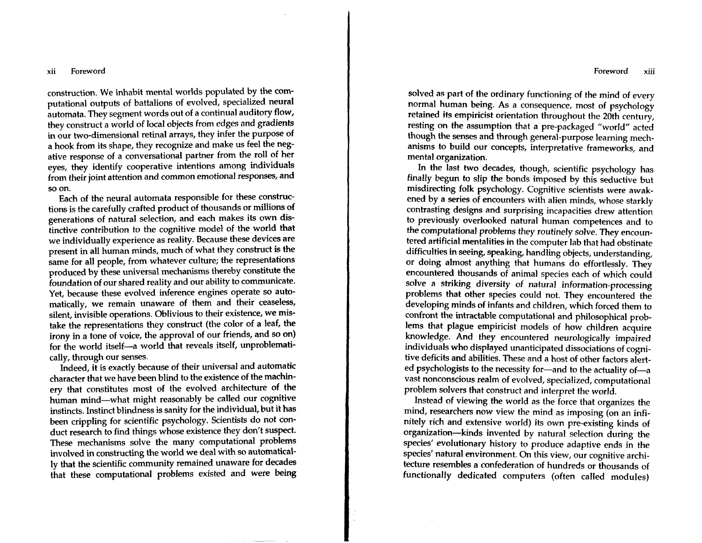### Foreword xiii

## xii Foreword

construction. We inhabit mental worlds populated by the computational outputs of battalions of evolved, specialized neural automata. They segment words out of a continual auditory flow, they construct a world of local objects from edges and gradients in our two-dimensional retinal arrays, they infer the purpose of a hook from its shape, they recognize and make us feel the negative response of a conversational partner from the roll of her eyes, they identify cooperative intentions among individuals from their joint attention and common emotional responses, and so on.

Each of the neural automata responsible for these constructions is the carefully crafted product of thousands or millions of generations of natural selection, and each makes its own distinctive contribution to the cognitive model of the world that we individually experience as reality. Because these devices are present in all human minds, much of what they construct is the same for all people, from whatever culture; the representations produced by these universal mechanisms thereby constitute the foundation of our shared reality and our ability to communicate. Yet, because these evolved inference engines operate so automatically, we remain unaware of them and their ceaseless, silent, invisible operations. Oblivious to their existence, we mistake the representations they construct (the color of a leaf, the irony in a tone of voice, the approval of our friends, and so on) for the world itself-a world that reveals itself, unproblematically, through our senses.

Indeed, it is exactly because of their universal and automatic character that we have been blind to the existence of the machinery that constitutes most of the evolved architecture of the human mind-what might reasonably be called our cognitive instincts. Instinct blindness is sanity for the individual, but it has been crippling for scientific psychology. Scientists do not conduct research to find things whose existence they don't suspect. These mechanisms solve the many computational problems involved in constructing the world we deal with so automatically that the scientific community remained unaware for decades that these computational problems existed and were **being**  solved as part of the ordinary functioning of the mind of every normal human being. As a consequence, most of psychology retained its empiricist orientation throughout the 20th century, resting on the assumption that a pre-packaged "world" acted though the senses and through general-purpose learning mechanisms to build our concepts, interpretative frameworks, and mental organization.

In the last two decades, though, scientific psychology has finally begun to slip the bonds imposed by this seductive but misdirecting folk psychology. Cognitive scientists were awakened by a series of encounters with alien minds, whose starkly contrasting designs and surprising incapacities drew attention to previously overlooked natural human competences and to the computational problems they routinely solve. They encountered artificial mentalities in the computer lab that had obstinate difficulties in seeing, speaking, handling objects, understanding, or doing almost anything that humans do effortlessly. They encountered thousands of animal species each of which could solve a striking diversity of natural information-processing problems that other species could not. They encountered the developing minds of infants and children, which forced them to confront the intractable computational and philosophical problems that plague empiricist models of how children acquire knowledge. And they encountered neurologically impaired individuals who displayed unanticipated dissociations of cognitive deficits and abilities. These and a host of other factors alerted psychologists to the necessity for-and to the actuality of-a vast nonconscious realm of evolved, specialized, computational problem solvers that construct and interpret the world.

Instead of viewing the world as the force that organizes the mind, researchers now view the mind as imposing (on an infinitely rich and extensive world) its own pre-existing kinds of organization-kinds invented by natural selection during the species' evolutionary history to produce adaptive ends in the species' natural environment. On this view, our cognitive architecture resembles a confederation of hundreds or thousands of functionally dedicated computers (often called modules)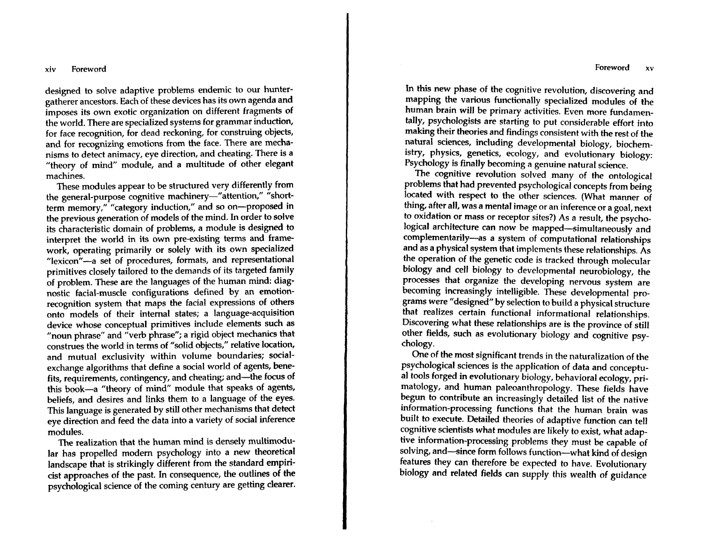#### Foreword **xv**

#### **xiv** Foreword

designed to solve adaptive problems endemic to our huntergatherer ancestors. Each of these devices has its own agenda and imposes its own exotic organization on different fragments of the world. There are specialized systems for grammar induction, for face recognition, for dead reckoning, for construing objects, and for recognizing emotions from the face. There are mechanisms to detect animacy, eye direction, and cheating. There is a "theory of mind" module, and a multitude of other elegant machines.

These modules appear to be structured very differently from the general-purpose cognitive machinery-"attention," "shortterm memory," "category induction," and so on-proposed in the previous generation of models of the mind. In order to solve its characteristic domain of problems, a module is designed to interpret the world in its own pre-existing terms and framework, operating primarily or solely with its own specialized "lexicon"-a set of procedures, formats, and representational primitives closely tailored to the demands of its targeted family of problem. These are the languages of the human mind: diagnostic facial-muscle configurations defined by an emotionrecognition system that maps the facial expressions of others onto models of their internal states; a language-acquisition device whose conceptual primitives include elements such as "noun phrase" and "verb phrase"; a rigid object mechanics that construes the world in terms of "solid objects," relative location, and mutual exclusivity within volume boundaries; socialexchange algorithms that define a social world of agents, benefits, requirements, contingency, and cheating; and—the focus of this book-a "theory of mind" module that speaks of agents, beliefs, and desires and links them to a language of the eyes. This language is generated by still other mechanisms that detect eye direction and feed the data into a variety of social inference modules.

The realization that the human mind is densely multimodular has propelled modern psychology into a new theoretical landscape that is strikingly different from the standard empiricist approaches of the past. In consequence, the outlines of the psychological science of the coming century are getting clearer.

In this new phase of the cognitive revolution, discovering and mapping the various functionally specialized modules of the human brain will be primary activities. Even more fundamentally, psychologists are starting to put considerable effort into making their theories and findings consistent with the rest of the natural sciences, including developmental biology, biochemistry, physics, genetics, ecology, and evolutionary biology: Psychology is finally becoming a genuine natural science.

The cognitive revolution solved many of the ontological problems that had prevented psychological concepts from being located with respect to the other sciences. (What manner of thing, after all, was a mental image or an inference or a goal, next to oxidation or mass or receptor sites?) As a result, the psychological architecture can now be mapped-simultaneously and complementarily-as a system of computational relationships and as a physical system that implements these relationships. As the operation of the genetic code is tracked through molecular biology and cell biology to developmental neurobiology, the processes that organize the developing nervous system are becoming increasingly intelligible. These developmental programs were "designed" by selection to build a physical structure that realizes certain functional informational relationships. Discovering what these relationships are is the province of still other fields, such as evolutionary biology and cognitive psychology.

One of the most significant trends in the naturalization of the psychological sciences is the application of data and conceptual tools forged in evolutionary biology, behavioral ecology, primatology, and human paleoanthropology. These fields have begun to contribute an increasingly detailed list of the native information-processing functions that the human brain was built to execute. Detailed theories of adaptive function can tell cognitive scientists what modules are likely to exist, what adaptive information-processing problems they must be capable of solving, and-since form follows function-what kind of design features they can therefore be expected to have. Evolutionary biology and related fields can supply this wealth of guidance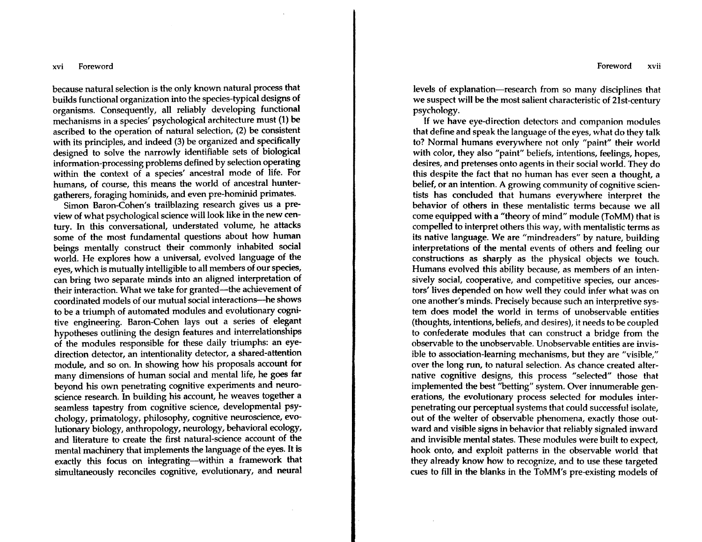#### Foreword xvii

## xvi Foreword

because natural selection is the only known natural process that builds functional organization into the species-typical designs of organisms. Consequently, all reliably developing functional mechanisms in a species' psychological architecture must (1) be ascribed to the operation of natural selection, (2) be consistent with its principles, and indeed (3) be organized and specifically designed to solve the narrowly identifiable sets of biological information-processing problems defined by selection operating within the context of a species' ancestral mode of life. For humans, of course, this means the world of ancestral huntergatherers, foraging hominids, and even pre-hominid primates.

Simon Baron-Cohen's trailblazing research gives us a preview of what psychological science will look like in the new century. In this conversational, understated volume, he attacks some of the most fundamental questions about how human beings mentally construct their commonly inhabited social world. He explores how a universal, evolved language of the eyes, which is mutually intelligible to all members of our species, can bring two separate minds into an aligned interpretation of their interaction. What we take for granted-the achievement of coordinated models of our mutual social interactions-he shows to be a triumph of automated modules and evolutionary cognitive engineering. Baron-Cohen lays out a series of elegant hypotheses outlining the design features and interrelationships of the modules responsible for these daily triumphs: an eyedirection detector, an intentionality detector, a shared-attention module, and so on. In showing how his proposals account for many dimensions of human social and mental life, he goes far beyond his own penetrating cognitive experiments and neuroscience research. In building his account, he weaves together a seamless tapestry from cognitive science, developmental psychology, primatology, philosophy, cognitive neuroscience, evolutionary biology, anthropology, neurology, behavioral ecology, and literature to create the first natural-science account of the mental machinery that implements the language of the eyes. It is exactly this focus on integrating-within a framework that simultaneously reconciles cognitive, evolutionary, and neural levels of explanation—research from so many disciplines that we suspect will be the most salient characteristic of 2lst-century psychology.

If we have eye-direction detectors and companion modules that define and speak the language of the eyes, what do they talk to? Normal humans everywhere not only "paint" their world with color, they also "paint" beliefs, intentions, feelings, hopes, desires, and pretenses onto agents in their social world. They do this despite the fact that no human has ever seen a thought, a belief, or an intention. A growing community of cognitive scientists has concluded that humans everywhere interpret the behavior of others in these mentalistic terms because we all come equipped with a "theory of mind" module (ToMM) that is compelled to interpret others this way, with mentalistic terms as its native language. We are "mindreaders" by nature, building interpretations of the mental events of others and feeling our constructions as sharply as the physical objects we touch. Humans evolved this ability because, as members of an intensively social, cooperative, and competitive species, our ancestors' lives depended on how well they could infer what was on one another's minds. Precisely because such an interpretive system does model the world in terms of unobservable entities (thoughts, intentions, beliefs, and desires), it needs to be coupled to confederate modules that can construct a bridge from the observable to the unobservable. Unobservable entities are invisible to association-learning mechanisms, but they are "visible," over the long run, to natural selection. As chance created alternative cognitive designs, this process "selected" those that implemented the best "betting" system. Over innumerable generations, the evolutionary process selected for modules interpenetrating our perceptual systems that could successful isolate, out of the welter of observable phenomena, exactly those outward and visible signs in behavior that reliably signaled inward and invisible mental states. These modules were built to expect, hook onto, and exploit patterns in the observable world that they already know how to recognize, and to use these targeted cues to fill in the blanks in the ToMM's pre-existing models of